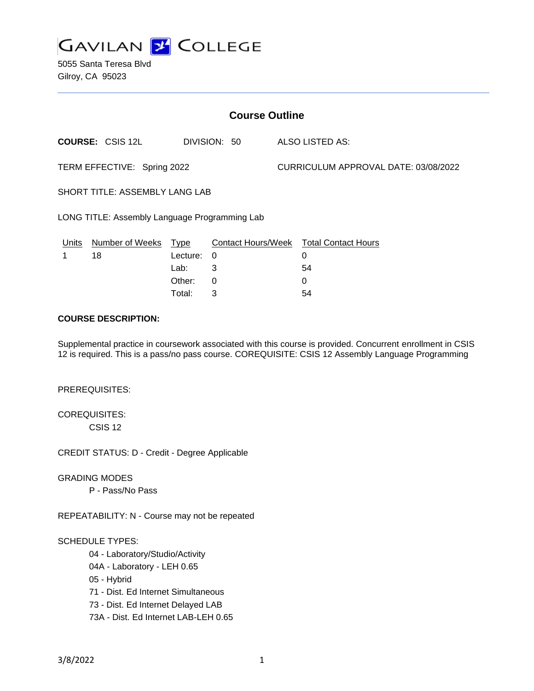

5055 Santa Teresa Blvd Gilroy, CA 95023

| <b>Course Outline</b>                         |                         |          |                           |                                      |                            |  |
|-----------------------------------------------|-------------------------|----------|---------------------------|--------------------------------------|----------------------------|--|
|                                               | <b>COURSE: CSIS 12L</b> |          | DIVISION: 50              |                                      | <b>ALSO LISTED AS:</b>     |  |
| TERM EFFECTIVE: Spring 2022                   |                         |          |                           | CURRICULUM APPROVAL DATE: 03/08/2022 |                            |  |
| SHORT TITLE: ASSEMBLY LANG LAB                |                         |          |                           |                                      |                            |  |
| LONG TITLE: Assembly Language Programming Lab |                         |          |                           |                                      |                            |  |
| Units                                         | Number of Weeks         | Type     | <b>Contact Hours/Week</b> |                                      | <b>Total Contact Hours</b> |  |
|                                               | 18                      | Lecture: | 0                         |                                      | 0                          |  |
|                                               |                         | Lab:     | 3                         |                                      | 54                         |  |
|                                               |                         | Other:   | $\Omega$                  |                                      | 0                          |  |
|                                               |                         | Total:   | 3                         |                                      | 54                         |  |
|                                               |                         |          |                           |                                      |                            |  |

# **COURSE DESCRIPTION:**

Supplemental practice in coursework associated with this course is provided. Concurrent enrollment in CSIS 12 is required. This is a pass/no pass course. COREQUISITE: CSIS 12 Assembly Language Programming

PREREQUISITES:

COREQUISITES:

CSIS 12

CREDIT STATUS: D - Credit - Degree Applicable

GRADING MODES

P - Pass/No Pass

REPEATABILITY: N - Course may not be repeated

## SCHEDULE TYPES:

04 - Laboratory/Studio/Activity

- 04A Laboratory LEH 0.65
- 05 Hybrid

71 - Dist. Ed Internet Simultaneous

- 73 Dist. Ed Internet Delayed LAB
- 73A Dist. Ed Internet LAB-LEH 0.65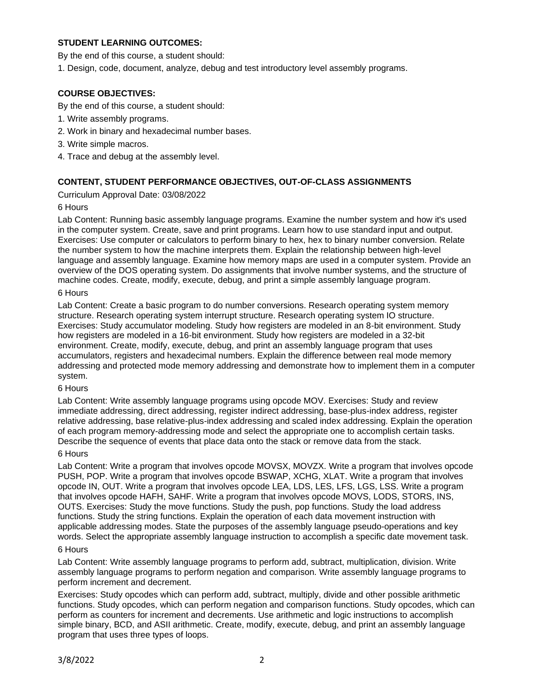# **STUDENT LEARNING OUTCOMES:**

By the end of this course, a student should:

1. Design, code, document, analyze, debug and test introductory level assembly programs.

## **COURSE OBJECTIVES:**

By the end of this course, a student should:

- 1. Write assembly programs.
- 2. Work in binary and hexadecimal number bases.
- 3. Write simple macros.
- 4. Trace and debug at the assembly level.

## **CONTENT, STUDENT PERFORMANCE OBJECTIVES, OUT-OF-CLASS ASSIGNMENTS**

Curriculum Approval Date: 03/08/2022

## 6 Hours

Lab Content: Running basic assembly language programs. Examine the number system and how it's used in the computer system. Create, save and print programs. Learn how to use standard input and output. Exercises: Use computer or calculators to perform binary to hex, hex to binary number conversion. Relate the number system to how the machine interprets them. Explain the relationship between high-level language and assembly language. Examine how memory maps are used in a computer system. Provide an overview of the DOS operating system. Do assignments that involve number systems, and the structure of machine codes. Create, modify, execute, debug, and print a simple assembly language program.

## 6 Hours

Lab Content: Create a basic program to do number conversions. Research operating system memory structure. Research operating system interrupt structure. Research operating system IO structure. Exercises: Study accumulator modeling. Study how registers are modeled in an 8-bit environment. Study how registers are modeled in a 16-bit environment. Study how registers are modeled in a 32-bit environment. Create, modify, execute, debug, and print an assembly language program that uses accumulators, registers and hexadecimal numbers. Explain the difference between real mode memory addressing and protected mode memory addressing and demonstrate how to implement them in a computer system.

#### 6 Hours

Lab Content: Write assembly language programs using opcode MOV. Exercises: Study and review immediate addressing, direct addressing, register indirect addressing, base-plus-index address, register relative addressing, base relative-plus-index addressing and scaled index addressing. Explain the operation of each program memory-addressing mode and select the appropriate one to accomplish certain tasks. Describe the sequence of events that place data onto the stack or remove data from the stack.

#### 6 Hours

Lab Content: Write a program that involves opcode MOVSX, MOVZX. Write a program that involves opcode PUSH, POP. Write a program that involves opcode BSWAP, XCHG, XLAT. Write a program that involves opcode IN, OUT. Write a program that involves opcode LEA, LDS, LES, LFS, LGS, LSS. Write a program that involves opcode HAFH, SAHF. Write a program that involves opcode MOVS, LODS, STORS, INS, OUTS. Exercises: Study the move functions. Study the push, pop functions. Study the load address functions. Study the string functions. Explain the operation of each data movement instruction with applicable addressing modes. State the purposes of the assembly language pseudo-operations and key words. Select the appropriate assembly language instruction to accomplish a specific date movement task.

#### 6 Hours

Lab Content: Write assembly language programs to perform add, subtract, multiplication, division. Write assembly language programs to perform negation and comparison. Write assembly language programs to perform increment and decrement.

Exercises: Study opcodes which can perform add, subtract, multiply, divide and other possible arithmetic functions. Study opcodes, which can perform negation and comparison functions. Study opcodes, which can perform as counters for increment and decrements. Use arithmetic and logic instructions to accomplish simple binary, BCD, and ASII arithmetic. Create, modify, execute, debug, and print an assembly language program that uses three types of loops.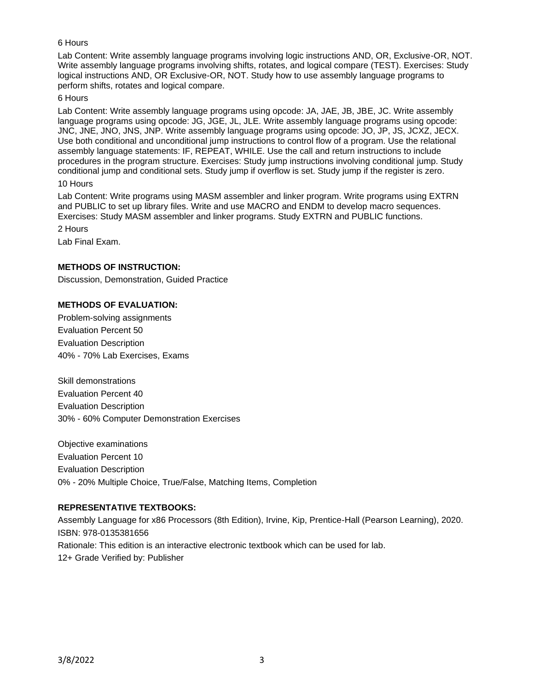## 6 Hours

Lab Content: Write assembly language programs involving logic instructions AND, OR, Exclusive-OR, NOT. Write assembly language programs involving shifts, rotates, and logical compare (TEST). Exercises: Study logical instructions AND, OR Exclusive-OR, NOT. Study how to use assembly language programs to perform shifts, rotates and logical compare.

#### 6 Hours

Lab Content: Write assembly language programs using opcode: JA, JAE, JB, JBE, JC. Write assembly language programs using opcode: JG, JGE, JL, JLE. Write assembly language programs using opcode: JNC, JNE, JNO, JNS, JNP. Write assembly language programs using opcode: JO, JP, JS, JCXZ, JECX. Use both conditional and unconditional jump instructions to control flow of a program. Use the relational assembly language statements: IF, REPEAT, WHILE. Use the call and return instructions to include procedures in the program structure. Exercises: Study jump instructions involving conditional jump. Study conditional jump and conditional sets. Study jump if overflow is set. Study jump if the register is zero. 10 Hours

Lab Content: Write programs using MASM assembler and linker program. Write programs using EXTRN and PUBLIC to set up library files. Write and use MACRO and ENDM to develop macro sequences. Exercises: Study MASM assembler and linker programs. Study EXTRN and PUBLIC functions.

2 Hours

Lab Final Exam.

## **METHODS OF INSTRUCTION:**

Discussion, Demonstration, Guided Practice

## **METHODS OF EVALUATION:**

Problem-solving assignments Evaluation Percent 50 Evaluation Description 40% - 70% Lab Exercises, Exams

Skill demonstrations Evaluation Percent 40 Evaluation Description 30% - 60% Computer Demonstration Exercises

Objective examinations Evaluation Percent 10 Evaluation Description 0% - 20% Multiple Choice, True/False, Matching Items, Completion

#### **REPRESENTATIVE TEXTBOOKS:**

Assembly Language for x86 Processors (8th Edition), Irvine, Kip, Prentice-Hall (Pearson Learning), 2020. ISBN: 978-0135381656 Rationale: This edition is an interactive electronic textbook which can be used for lab. 12+ Grade Verified by: Publisher